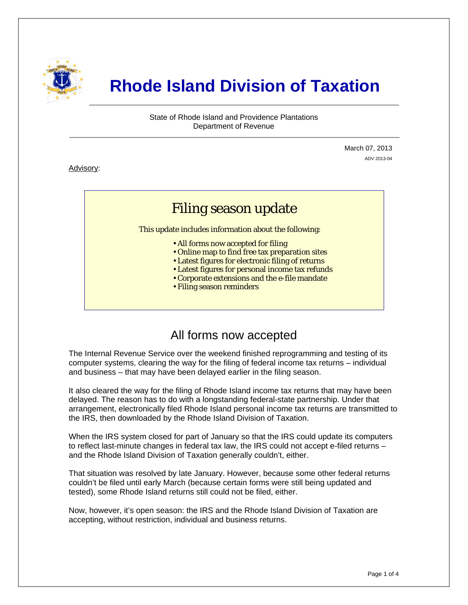

# **Rhode Island Division of Taxation**

State of Rhode Island and Providence Plantations Department of Revenue

> March 07, 2013 ADV 2013-04

Advisory:

j

# Filing season update

This update includes information about the following:

- All forms now accepted for filing
- Online map to find free tax preparation sites
- Latest figures for electronic filing of returns
- Latest figures for personal income tax refunds
- Corporate extensions and the e-file mandate
- Filing season reminders

### All forms now accepted

The Internal Revenue Service over the weekend finished reprogramming and testing of its computer systems, clearing the way for the filing of federal income tax returns – individual and business – that may have been delayed earlier in the filing season.

It also cleared the way for the filing of Rhode Island income tax returns that may have been delayed. The reason has to do with a longstanding federal-state partnership. Under that arrangement, electronically filed Rhode Island personal income tax returns are transmitted to the IRS, then downloaded by the Rhode Island Division of Taxation.

When the IRS system closed for part of January so that the IRS could update its computers to reflect last-minute changes in federal tax law, the IRS could not accept e-filed returns – and the Rhode Island Division of Taxation generally couldn't, either.

That situation was resolved by late January. However, because some other federal returns couldn't be filed until early March (because certain forms were still being updated and tested), some Rhode Island returns still could not be filed, either.

Now, however, it's open season: the IRS and the Rhode Island Division of Taxation are accepting, without restriction, individual and business returns.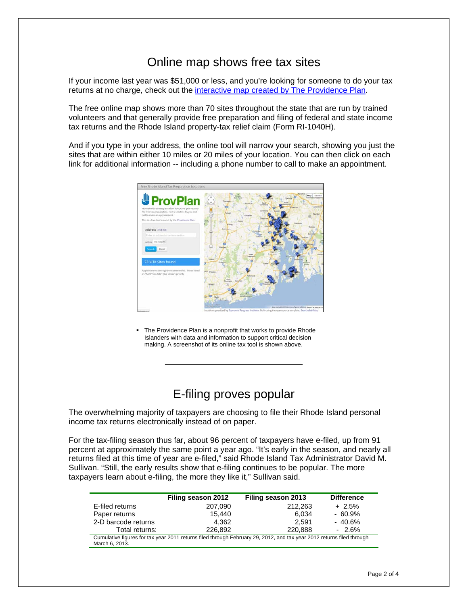## Online map shows free tax sites

If your income last year was \$51,000 or less, and you're looking for someone to do your tax returns at no charge, check out the [interactive map created by The Providence Plan.](http://taxprep.provplan.org/)

The free online map shows more than 70 sites throughout the state that are run by trained volunteers and that generally provide free preparation and filing of federal and state income tax returns and the Rhode Island property-tax relief claim (Form RI-1040H).

And if you type in your address, the online tool will narrow your search, showing you just the sites that are within either 10 miles or 20 miles of your location. You can then click on each link for additional information -- including a phone number to call to make an appointment.



 The Providence Plan is a nonprofit that works to provide Rhode Islanders with data and information to support critical decision making. A screenshot of its online tax tool is shown above.

## E-filing proves popular

The overwhelming majority of taxpayers are choosing to file their Rhode Island personal income tax returns electronically instead of on paper.

For the tax-filing season thus far, about 96 percent of taxpayers have e-filed, up from 91 percent at approximately the same point a year ago. "It's early in the season, and nearly all returns filed at this time of year are e-filed," said Rhode Island Tax Administrator David M. Sullivan. "Still, the early results show that e-filing continues to be popular. The more taxpayers learn about e-filing, the more they like it," Sullivan said.

|                                                                                                                                         | Filing season 2012 | Filing season 2013 | <b>Difference</b> |  |
|-----------------------------------------------------------------------------------------------------------------------------------------|--------------------|--------------------|-------------------|--|
| E-filed returns                                                                                                                         | 207,090            | 212,263            | $+2.5%$           |  |
| Paper returns                                                                                                                           | 15.440             | 6.034              | $-60.9\%$         |  |
| 2-D barcode returns                                                                                                                     | 4.362              | 2.591              | $-40.6\%$         |  |
| Total returns:                                                                                                                          | 226.892            | 220,888            | $-2.6\%$          |  |
| Cumulative figures for tax year 2011 returns filed through February 29, 2012, and tax year 2012 returns filed through<br>March 6, 2013. |                    |                    |                   |  |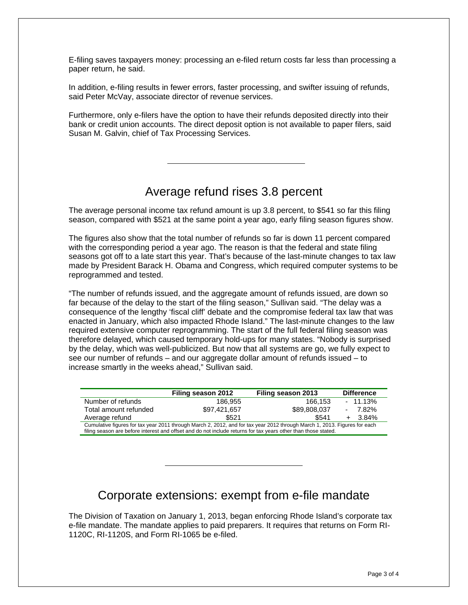E-filing saves taxpayers money: processing an e-filed return costs far less than processing a paper return, he said.

In addition, e-filing results in fewer errors, faster processing, and swifter issuing of refunds, said Peter McVay, associate director of revenue services.

Furthermore, only e-filers have the option to have their refunds deposited directly into their bank or credit union accounts. The direct deposit option is not available to paper filers, said Susan M. Galvin, chief of Tax Processing Services.

## Average refund rises 3.8 percent

The average personal income tax refund amount is up 3.8 percent, to \$541 so far this filing season, compared with \$521 at the same point a year ago, early filing season figures show.

The figures also show that the total number of refunds so far is down 11 percent compared with the corresponding period a year ago. The reason is that the federal and state filing seasons got off to a late start this year. That's because of the last-minute changes to tax law made by President Barack H. Obama and Congress, which required computer systems to be reprogrammed and tested.

"The number of refunds issued, and the aggregate amount of refunds issued, are down so far because of the delay to the start of the filing season," Sullivan said. "The delay was a consequence of the lengthy 'fiscal cliff' debate and the compromise federal tax law that was enacted in January, which also impacted Rhode Island." The last-minute changes to the law required extensive computer reprogramming. The start of the full federal filing season was therefore delayed, which caused temporary hold-ups for many states. "Nobody is surprised by the delay, which was well-publicized. But now that all systems are go, we fully expect to see our number of refunds – and our aggregate dollar amount of refunds issued – to increase smartly in the weeks ahead," Sullivan said.

|                                                                                                                           | Filing season 2012 | Filing season 2013 | <b>Difference</b> |  |  |
|---------------------------------------------------------------------------------------------------------------------------|--------------------|--------------------|-------------------|--|--|
| Number of refunds                                                                                                         | 186.955            | 166.153            | $-11.13%$         |  |  |
| Total amount refunded                                                                                                     | \$97.421.657       | \$89,808,037       | 7.82%             |  |  |
| Average refund                                                                                                            | \$521              | \$541              | $+ 3.84\%$        |  |  |
| Cumulative figures for tax year 2011 through March 2, 2012, and for tax year 2012 through March 1, 2013. Figures for each |                    |                    |                   |  |  |
| filing season are before interest and offset and do not include returns for tax years other than those stated.            |                    |                    |                   |  |  |

### Corporate extensions: exempt from e-file mandate

The Division of Taxation on January 1, 2013, began enforcing Rhode Island's corporate tax e-file mandate. The mandate applies to paid preparers. It requires that returns on Form RI-1120C, RI-1120S, and Form RI-1065 be e-filed.